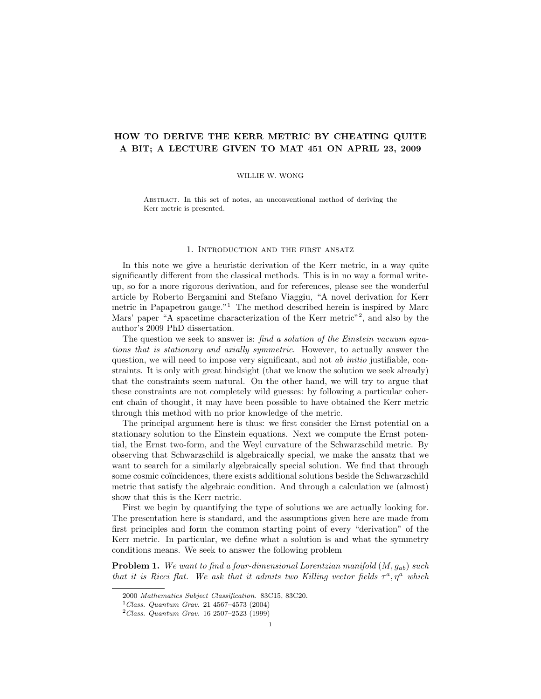# HOW TO DERIVE THE KERR METRIC BY CHEATING QUITE A BIT; A LECTURE GIVEN TO MAT 451 ON APRIL 23, 2009

## WILLIE W. WONG

Abstract. In this set of notes, an unconventional method of deriving the Kerr metric is presented.

## 1. Introduction and the first ansatz

In this note we give a heuristic derivation of the Kerr metric, in a way quite significantly different from the classical methods. This is in no way a formal writeup, so for a more rigorous derivation, and for references, please see the wonderful article by Roberto Bergamini and Stefano Viaggiu, "A novel derivation for Kerr metric in Papapetrou gauge."<sup>1</sup> The method described herein is inspired by Marc Mars' paper "A spacetime characterization of the Kerr metric"<sup>2</sup>, and also by the author's 2009 PhD dissertation.

The question we seek to answer is: find a solution of the Einstein vacuum equations that is stationary and axially symmetric. However, to actually answer the question, we will need to impose very significant, and not *ab initio* justifiable, constraints. It is only with great hindsight (that we know the solution we seek already) that the constraints seem natural. On the other hand, we will try to argue that these constraints are not completely wild guesses: by following a particular coherent chain of thought, it may have been possible to have obtained the Kerr metric through this method with no prior knowledge of the metric.

The principal argument here is thus: we first consider the Ernst potential on a stationary solution to the Einstein equations. Next we compute the Ernst potential, the Ernst two-form, and the Weyl curvature of the Schwarzschild metric. By observing that Schwarzschild is algebraically special, we make the ansatz that we want to search for a similarly algebraically special solution. We find that through some cosmic coïncidences, there exists additional solutions beside the Schwarzschild metric that satisfy the algebraic condition. And through a calculation we (almost) show that this is the Kerr metric.

First we begin by quantifying the type of solutions we are actually looking for. The presentation here is standard, and the assumptions given here are made from first principles and form the common starting point of every "derivation" of the Kerr metric. In particular, we define what a solution is and what the symmetry conditions means. We seek to answer the following problem

**Problem 1.** We want to find a four-dimensional Lorentzian manifold  $(M, g_{ab})$  such that it is Ricci flat. We ask that it admits two Killing vector fields  $\tau^a, \eta^a$  which

<sup>2000</sup> Mathematics Subject Classification. 83C15, 83C20.

 $1$ Class. Quantum Grav. 21 4567-4573 (2004)

 $^{2}Class.$  Quantum Grav. 16 2507-2523 (1999)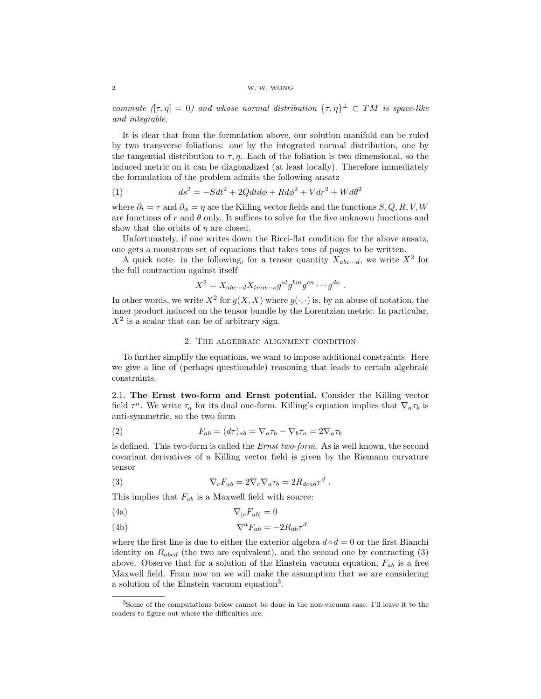commute  $(\tau, \eta] = 0$ ) and whose normal distribution  $\{\tau, \eta\}^{\perp} \subset TM$  is space-like and integrable.

It is clear that from the formulation above, our solution manifold can be ruled by two transverse foliations: one by the integrated normal distribution, one by the tangential distribution to  $\tau$ ,  $\eta$ . Each of the foliation is two dimensional, so the induced metric on it can be diagonalized (at least locally). Therefore immediately the formulation of the problem admits the following ansatz

(1) 
$$
ds^2 = -Sdt^2 + 2Qdt d\phi + R d\phi^2 + V dr^2 + W d\theta^2
$$

where  $\partial_t = \tau$  and  $\partial_{\phi} = \eta$  are the Killing vector fields and the functions  $S, Q, R, V, W$ are functions of r and  $\theta$  only. It suffices to solve for the five unknown functions and show that the orbits of  $\eta$  are closed.

Unfortunately, if one writes down the Ricci-flat condition for the above ansatz, one gets a monstrous set of equations that takes tens of pages to be written.

A quick note: in the following, for a tensor quantity  $X_{abc\cdots d}$ , we write  $X^2$  for the full contraction against itself

$$
X^2 = X_{abc\cdots d} X_{lmn\cdots o} g^{al} g^{bm} g^{cn} \cdots g^{do} .
$$

In other words, we write  $X^2$  for  $g(X, X)$  where  $g(\cdot, \cdot)$  is, by an abuse of notation, the inner product induced on the tensor bundle by the Lorentzian metric. In particular,  $X<sup>2</sup>$  is a scalar that can be of arbitrary sign.

## 2. The algebraic alignment condition

To further simplify the equations, we want to impose additional constraints. Here we give a line of (perhaps questionable) reasoning that leads to certain algebraic constraints.

2.1. The Ernst two-form and Ernst potential. Consider the Killing vector field  $\tau^a$ . We write  $\tau_a$  for its dual one-form. Killing's equation implies that  $\nabla_a \tau_b$  is anti-symmetric, so the two form

(2) 
$$
F_{ab} = (d\tau)_{ab} = \nabla_a \tau_b - \nabla_b \tau_a = 2\nabla_a \tau_b
$$

is defined. This two-form is called the Ernst two-form. As is well known, the second covariant derivatives of a Killing vector field is given by the Riemann curvature tensor

(3) 
$$
\nabla_c F_{ab} = 2 \nabla_c \nabla_a \tau_b = 2 R_{dcab} \tau^d.
$$

This implies that  $F_{ab}$  is a Maxwell field with source:

(4a) 
$$
\nabla_{[c}F_{ab]}=0
$$

(4b) 
$$
\nabla^a F_{ab} = -2R_{db}\tau^d
$$

where the first line is due to either the exterior algebra  $d \circ d = 0$  or the first Bianchi identity on  $R_{abcd}$  (the two are equivalent), and the second one by contracting  $(3)$ above. Observe that for a solution of the Einstein vacuum equation,  $F_{ab}$  is a free Maxwell field. From now on we will make the assumption that we are considering a solution of the Einstein vacuum equation<sup>3</sup>.

<sup>3</sup>Some of the computations below cannot be done in the non-vacuum case. I'll leave it to the readers to figure out where the difficulties are.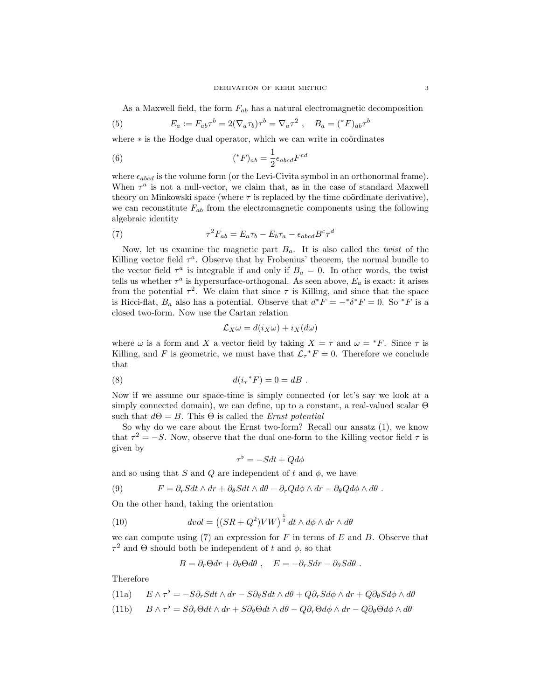As a Maxwell field, the form  $F_{ab}$  has a natural electromagnetic decomposition

(5) 
$$
E_a := F_{ab}\tau^b = 2(\nabla_a \tau_b)\tau^b = \nabla_a \tau^2 , \quad B_a = ({}^*F)_{ab}\tau^b
$$

where  $*$  is the Hodge dual operator, which we can write in coördinates

(6) 
$$
(^*F)_{ab} = \frac{1}{2} \epsilon_{abcd} F^{cd}
$$

where  $\epsilon_{abcd}$  is the volume form (or the Levi-Civita symbol in an orthonormal frame). When  $\tau^a$  is not a null-vector, we claim that, as in the case of standard Maxwell theory on Minkowski space (where  $\tau$  is replaced by the time coördinate derivative), we can reconstitute  $F_{ab}$  from the electromagnetic components using the following algebraic identity

(7) 
$$
\tau^2 F_{ab} = E_a \tau_b - E_b \tau_a - \epsilon_{abcd} B^c \tau^d
$$

Now, let us examine the magnetic part  $B_a$ . It is also called the *twist* of the Killing vector field  $\tau^a$ . Observe that by Frobenius' theorem, the normal bundle to the vector field  $\tau^a$  is integrable if and only if  $B_a = 0$ . In other words, the twist tells us whether  $\tau^a$  is hypersurface-orthogonal. As seen above,  $E_a$  is exact: it arises from the potential  $\tau^2$ . We claim that since  $\tau$  is Killing, and since that the space is Ricci-flat,  $B_a$  also has a potential. Observe that  $d^*F = -^*\delta^*F = 0$ . So  $^*F$  is a closed two-form. Now use the Cartan relation

$$
\mathcal{L}_X \omega = d(i_X \omega) + i_X (d\omega)
$$

where  $\omega$  is a form and X a vector field by taking  $X = \tau$  and  $\omega = {}^*F$ . Since  $\tau$  is Killing, and F is geometric, we must have that  $\mathcal{L}_{\tau}$ <sup>\*</sup>F = 0. Therefore we conclude that

(8) 
$$
d(i_{\tau} * F) = 0 = dB.
$$

Now if we assume our space-time is simply connected (or let's say we look at a simply connected domain), we can define, up to a constant, a real-valued scalar Θ such that  $d\Theta = B$ . This  $\Theta$  is called the *Ernst potential* 

So why do we care about the Ernst two-form? Recall our ansatz (1), we know that  $\tau^2 = -S$ . Now, observe that the dual one-form to the Killing vector field  $\tau$  is given by

$$
\tau^{\flat} = -Sdt + Qd\phi
$$

and so using that S and Q are independent of t and  $\phi$ , we have

(9) 
$$
F = \partial_r S dt \wedge dr + \partial_\theta S dt \wedge d\theta - \partial_r Q d\phi \wedge dr - \partial_\theta Q d\phi \wedge d\theta.
$$

On the other hand, taking the orientation

(10) 
$$
dvol = ((SR + Q^2)VW)^{\frac{1}{2}} dt \wedge d\phi \wedge dr \wedge d\theta
$$

we can compute using  $(7)$  an expression for F in terms of E and B. Observe that  $\tau^2$  and  $\Theta$  should both be independent of t and  $\phi$ , so that

$$
B = \partial_r \Theta dr + \partial_\theta \Theta d\theta , \quad E = -\partial_r S dr - \partial_\theta S d\theta .
$$

Therefore

(11a) 
$$
E \wedge \tau^{\flat} = -S \partial_r S dt \wedge dr - S \partial_{\theta} S dt \wedge d\theta + Q \partial_r S d\phi \wedge dr + Q \partial_{\theta} S d\phi \wedge d\theta
$$

(11b) 
$$
B \wedge \tau^{\flat} = S \partial_r \Theta dt \wedge dr + S \partial_{\theta} \Theta dt \wedge d\theta - Q \partial_r \Theta d\phi \wedge dr - Q \partial_{\theta} \Theta d\phi \wedge d\theta
$$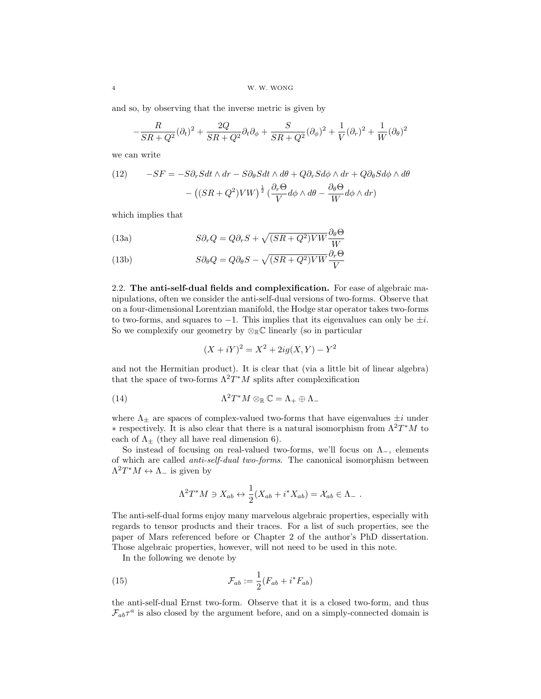and so, by observing that the inverse metric is given by

$$
-\frac{R}{SR+Q^2}(\partial_t)^2 + \frac{2Q}{SR+Q^2}\partial_t\partial_\phi + \frac{S}{SR+Q^2}(\partial_\phi)^2 + \frac{1}{V}(\partial_r)^2 + \frac{1}{W}(\partial_\theta)^2
$$

we can write

(12) 
$$
-SF = -S\partial_r Sdt \wedge dr - S\partial_\theta Sdt \wedge d\theta + Q\partial_r Sd\phi \wedge dr + Q\partial_\theta Sd\phi \wedge d\theta
$$

$$
- \left( (SR + Q^2)VW \right)^{\frac{1}{2}} \left( \frac{\partial_r \Theta}{V} d\phi \wedge d\theta - \frac{\partial_\theta \Theta}{W} d\phi \wedge dr \right)
$$

which implies that

(13a) 
$$
S\partial_r Q = Q\partial_r S + \sqrt{(SR + Q^2)VW} \frac{\partial_\theta \Theta}{W}
$$

(13b) 
$$
S\partial_{\theta}Q = Q\partial_{\theta}S - \sqrt{(SR + Q^2)VW}\frac{\partial_r\Theta}{V}
$$

2.2. The anti-self-dual fields and complexification. For ease of algebraic manipulations, often we consider the anti-self-dual versions of two-forms. Observe that on a four-dimensional Lorentzian manifold, the Hodge star operator takes two-forms to two-forms, and squares to  $-1$ . This implies that its eigenvalues can only be  $±i$ . So we complexify our geometry by  $\otimes_{\mathbb{R}} \mathbb{C}$  linearly (so in particular

$$
(X + iY)^2 = X^2 + 2ig(X, Y) - Y^2
$$

and not the Hermitian product). It is clear that (via a little bit of linear algebra) that the space of two-forms  $\Lambda^2 T^*M$  splits after complexification

(14) 
$$
\Lambda^2 T^* M \otimes_{\mathbb{R}} \mathbb{C} = \Lambda_+ \oplus \Lambda_-
$$

where  $\Lambda_{\pm}$  are spaces of complex-valued two-forms that have eigenvalues  $\pm i$  under  $*$  respectively. It is also clear that there is a natural isomorphism from  $\Lambda^2T^*M$  to each of  $\Lambda_{\pm}$  (they all have real dimension 6).

So instead of focusing on real-valued two-forms, we'll focus on  $\Lambda_-,$  elements of which are called anti-self-dual two-forms. The canonical isomorphism between  $\Lambda^2 T^* M \leftrightarrow \Lambda_-$  is given by

$$
\Lambda^2 T^* M \ni X_{ab} \leftrightarrow \frac{1}{2} (X_{ab} + i^* X_{ab}) = X_{ab} \in \Lambda_- .
$$

The anti-self-dual forms enjoy many marvelous algebraic properties, especially with regards to tensor products and their traces. For a list of such properties, see the paper of Mars referenced before or Chapter 2 of the author's PhD dissertation. Those algebraic properties, however, will not need to be used in this note.

In the following we denote by

(15) 
$$
\mathcal{F}_{ab} := \frac{1}{2} (F_{ab} + i^* F_{ab})
$$

the anti-self-dual Ernst two-form. Observe that it is a closed two-form, and thus  $\mathcal{F}_{ab}\tau^a$  is also closed by the argument before, and on a simply-connected domain is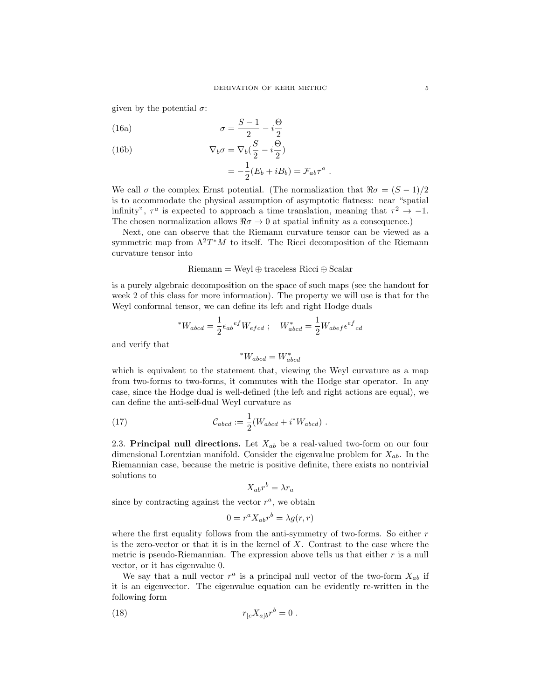given by the potential  $\sigma$ :

(16a) 
$$
\sigma = \frac{S-1}{2} - i\frac{\Theta}{2}
$$

(16b) 
$$
\nabla_b \sigma = \nabla_b (\frac{S}{2} - i \frac{\Theta}{2})
$$

$$
= -\frac{1}{2}(E_b + iB_b) = \mathcal{F}_{ab}\tau^a.
$$

We call  $\sigma$  the complex Ernst potential. (The normalization that  $\Re \sigma = (S-1)/2$ is to accommodate the physical assumption of asymptotic flatness: near "spatial infinity",  $\tau^a$  is expected to approach a time translation, meaning that  $\tau^2 \to -1$ . The chosen normalization allows  $\Re \sigma \to 0$  at spatial infinity as a consequence.)

Next, one can observe that the Riemann curvature tensor can be viewed as a symmetric map from  $\Lambda^2 T^*M$  to itself. The Ricci decomposition of the Riemann curvature tensor into

 $Riemann = Weyl \oplus traceless Ricci \oplus Scalar$ 

is a purely algebraic decomposition on the space of such maps (see the handout for week 2 of this class for more information). The property we will use is that for the Weyl conformal tensor, we can define its left and right Hodge duals

$$
^*W_{abcd} = \frac{1}{2} \epsilon_{ab}{}^{ef} W_{efcd} \; ; \quad W_{abcd}^* = \frac{1}{2} W_{abef} \epsilon^{ef}{}_{cd}
$$

and verify that

$$
^*W_{abcd} = W^*_{abcd}
$$

which is equivalent to the statement that, viewing the Weyl curvature as a map from two-forms to two-forms, it commutes with the Hodge star operator. In any case, since the Hodge dual is well-defined (the left and right actions are equal), we can define the anti-self-dual Weyl curvature as

(17) 
$$
\mathcal{C}_{abcd} := \frac{1}{2}(W_{abcd} + i^*W_{abcd}) .
$$

2.3. Principal null directions. Let  $X_{ab}$  be a real-valued two-form on our four dimensional Lorentzian manifold. Consider the eigenvalue problem for  $X_{ab}$ . In the Riemannian case, because the metric is positive definite, there exists no nontrivial solutions to

$$
X_{ab}r^b = \lambda r_a
$$

since by contracting against the vector  $r^a$ , we obtain

$$
0 = r^a X_{ab} r^b = \lambda g(r, r)
$$

where the first equality follows from the anti-symmetry of two-forms. So either  $r$ is the zero-vector or that it is in the kernel of  $X$ . Contrast to the case where the metric is pseudo-Riemannian. The expression above tells us that either  $r$  is a null vector, or it has eigenvalue 0.

We say that a null vector  $r^a$  is a principal null vector of the two-form  $X_{ab}$  if it is an eigenvector. The eigenvalue equation can be evidently re-written in the following form

(18) 
$$
r_{[c}X_{a]b}r^{b}=0.
$$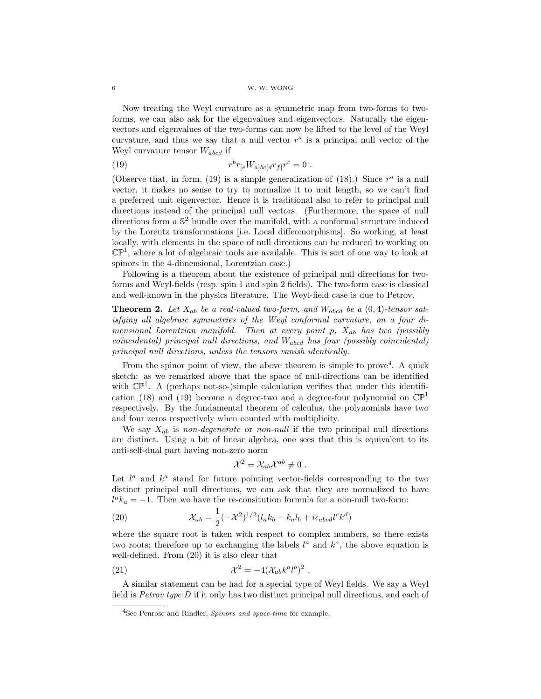#### 6 W. W. WONG

Now treating the Weyl curvature as a symmetric map from two-forms to twoforms, we can also ask for the eigenvalues and eigenvectors. Naturally the eigenvectors and eigenvalues of the two-forms can now be lifted to the level of the Weyl curvature, and thus we say that a null vector  $r^a$  is a principal null vector of the Weyl curvature tensor  $W_{abcd}$  if

(19) 
$$
r^{b} r_{[e} W_{a]bc[d} r_{f]} r^{c} = 0.
$$

(Observe that, in form, (19) is a simple generalization of (18).) Since  $r^a$  is a null vector, it makes no sense to try to normalize it to unit length, so we can't find a preferred unit eigenvector. Hence it is traditional also to refer to principal null directions instead of the principal null vectors. (Furthermore, the space of null directions form a  $\mathbb{S}^2$  bundle over the manifold, with a conformal structure induced by the Lorentz transformations [i.e. Local diffeomorphisms]. So working, at least locally, with elements in the space of null directions can be reduced to working on  $\mathbb{CP}^1$ , where a lot of algebraic tools are available. This is sort of one way to look at spinors in the 4-dimensional, Lorentzian case.)

Following is a theorem about the existence of principal null directions for twoforms and Weyl-fields (resp. spin 1 and spin 2 fields). The two-form case is classical and well-known in the physics literature. The Weyl-field case is due to Petrov.

**Theorem 2.** Let  $X_{ab}$  be a real-valued two-form, and  $W_{abcd}$  be a  $(0, 4)$ -tensor satisfying all algebraic symmetries of the Weyl conformal curvature, on a four dimensional Lorentzian manifold. Then at every point  $p$ ,  $X_{ab}$  has two (possibly  $coïncidental) principal null directions, and  $W_{abcd}$  has four (possibly coïncidental)$ principal null directions, unless the tensors vanish identically.

From the spinor point of view, the above theorem is simple to prove<sup>4</sup>. A quick sketch: as we remarked above that the space of null-directions can be identified with  $\mathbb{CP}^1$ . A (perhaps not-so-)simple calculation verifies that under this identification (18) and (19) become a degree-two and a degree-four polynomial on  $\mathbb{CP}^1$ respectively. By the fundamental theorem of calculus, the polynomials have two and four zeros respectively when counted with multiplicity.

We say  $X_{ab}$  is non-degenerate or non-null if the two principal null directions are distinct. Using a bit of linear algebra, one sees that this is equivalent to its anti-self-dual part having non-zero norm

$$
\mathcal{X}^2 = \mathcal{X}_{ab} \mathcal{X}^{ab} \neq 0 \ .
$$

Let  $l^a$  and  $k^a$  stand for future pointing vector-fields corresponding to the two distinct principal null directions, we can ask that they are normalized to have  $l^a k_a = -1$ . Then we have the re-consitution formula for a non-null two-form:

(20) 
$$
\mathcal{X}_{ab} = \frac{1}{2}(-\mathcal{X}^2)^{1/2}(l_a k_b - k_a l_b + i\epsilon_{abcd}l^c k^d)
$$

where the square root is taken with respect to complex numbers, so there exists two roots; therefore up to exchanging the labels  $l^a$  and  $k^a$ , the above equation is well-defined. From (20) it is also clear that

$$
\mathcal{X}^2 = -4(\mathcal{X}_{ab}k^a l^b)^2.
$$

A similar statement can be had for a special type of Weyl fields. We say a Weyl field is Petrov type D if it only has two distinct principal null directions, and each of

 $4$ See Penrose and Rindler, *Spinors and space-time* for example.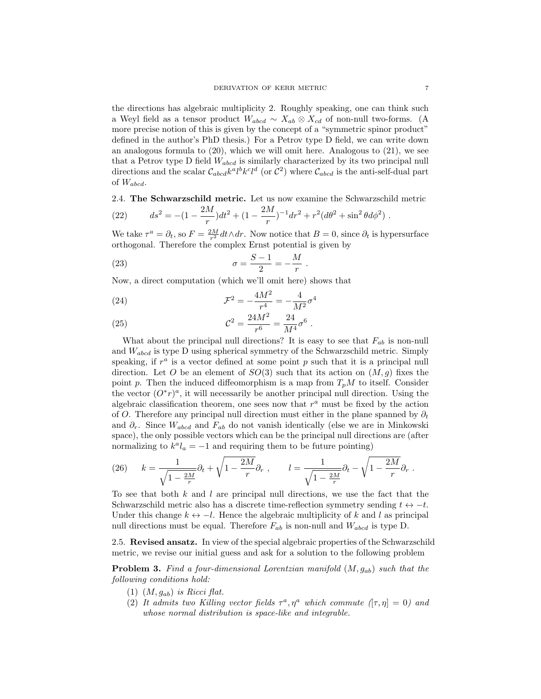the directions has algebraic multiplicity 2. Roughly speaking, one can think such a Weyl field as a tensor product  $W_{abcd} \sim X_{ab} \otimes X_{cd}$  of non-null two-forms. (A more precise notion of this is given by the concept of a "symmetric spinor product" defined in the author's PhD thesis.) For a Petrov type D field, we can write down an analogous formula to  $(20)$ , which we will omit here. Analogous to  $(21)$ , we see that a Petrov type D field  $W_{abcd}$  is similarly characterized by its two principal null directions and the scalar  $\mathcal{C}_{abcd}k^a l^b k^c l^d$  (or  $\mathcal{C}^2$ ) where  $\mathcal{C}_{abcd}$  is the anti-self-dual part of  $W_{abcd}$ .

# 2.4. The Schwarzschild metric. Let us now examine the Schwarzschild metric

(22) 
$$
ds^{2} = -(1 - \frac{2M}{r})dt^{2} + (1 - \frac{2M}{r})^{-1}dr^{2} + r^{2}(d\theta^{2} + \sin^{2}\theta d\phi^{2}).
$$

We take  $\tau^a = \partial_t$ , so  $F = \frac{2M}{r^2} dt \wedge dr$ . Now notice that  $B = 0$ , since  $\partial_t$  is hypersurface orthogonal. Therefore the complex Ernst potential is given by

(23) 
$$
\sigma = \frac{S-1}{2} = -\frac{M}{r} .
$$

Now, a direct computation (which we'll omit here) shows that

(24) 
$$
\mathcal{F}^2 = -\frac{4M^2}{r^4} = -\frac{4}{M^2}\sigma^4
$$

(25) 
$$
\mathcal{C}^2 = \frac{24M^2}{r^6} = \frac{24}{M^4}\sigma^6.
$$

What about the principal null directions? It is easy to see that  $F_{ab}$  is non-null and  $W_{abcd}$  is type D using spherical symmetry of the Schwarzschild metric. Simply speaking, if  $r^a$  is a vector defined at some point  $p$  such that it is a principal null direction. Let O be an element of  $SO(3)$  such that its action on  $(M, g)$  fixes the point p. Then the induced diffeomorphism is a map from  $T_pM$  to itself. Consider the vector  $(O^*r)^a$ , it will necessarily be another principal null direction. Using the algebraic classification theorem, one sees now that  $r^a$  must be fixed by the action of O. Therefore any principal null direction must either in the plane spanned by  $\partial_t$ and  $\partial_r$ . Since  $W_{abcd}$  and  $F_{ab}$  do not vanish identically (else we are in Minkowski space), the only possible vectors which can be the principal null directions are (after normalizing to  $k^a l_a = -1$  and requiring them to be future pointing)

(26) 
$$
k = \frac{1}{\sqrt{1 - \frac{2M}{r}}}\partial_t + \sqrt{1 - \frac{2M}{r}}\partial_r , \qquad l = \frac{1}{\sqrt{1 - \frac{2M}{r}}}\partial_t - \sqrt{1 - \frac{2M}{r}}\partial_r .
$$

To see that both  $k$  and  $l$  are principal null directions, we use the fact that the Schwarzschild metric also has a discrete time-reflection symmetry sending  $t \leftrightarrow -t$ . Under this change  $k \leftrightarrow -l$ . Hence the algebraic multiplicity of k and l as principal null directions must be equal. Therefore  $F_{ab}$  is non-null and  $W_{abcd}$  is type D.

2.5. Revised ansatz. In view of the special algebraic properties of the Schwarzschild metric, we revise our initial guess and ask for a solution to the following problem

**Problem 3.** Find a four-dimensional Lorentzian manifold  $(M, g_{ab})$  such that the following conditions hold:

- $(1)$   $(M, g_{ab})$  is Ricci flat.
- (2) It admits two Killing vector fields  $\tau^a, \eta^a$  which commute  $([\tau, \eta] = 0)$  and whose normal distribution is space-like and integrable.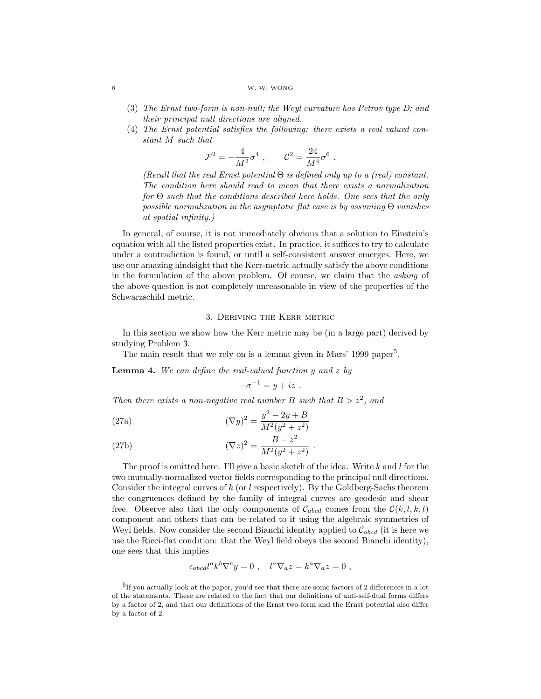#### 8 W. W. WONG

- (3) The Ernst two-form is non-null; the Weyl curvature has Petrov type D; and their principal null directions are aligned.
- (4) The Ernst potential satisfies the following: there exists a real valued constant M such that

$$
\mathcal{F}^2 = -\frac{4}{M^2} \sigma^4 \ , \qquad \mathcal{C}^2 = \frac{24}{M^4} \sigma^6
$$

(Recall that the real Ernst potential  $\Theta$  is defined only up to a (real) constant. The condition here should read to mean that there exists a normalization for Θ such that the conditions described here holds. One sees that the only possible normalization in the asymptotic flat case is by assuming  $\Theta$  vanishes at spatial infinity.)

.

In general, of course, it is not immediately obvious that a solution to Einstein's equation with all the listed properties exist. In practice, it suffices to try to calculate under a contradiction is found, or until a self-consistent answer emerges. Here, we use our amazing hindsight that the Kerr-metric actually satisfy the above conditions in the formulation of the above problem. Of course, we claim that the asking of the above question is not completely unreasonable in view of the properties of the Schwarzschild metric.

# 3. Deriving the Kerr metric

In this section we show how the Kerr metric may be (in a large part) derived by studying Problem 3.

The main result that we rely on is a lemma given in Mars' 1999 paper<sup>5</sup>.

**Lemma 4.** We can define the real-valued function y and z by

$$
-\sigma^{-1} = y + iz .
$$

Then there exists a non-negative real number B such that  $B > z^2$ , and

(27a) 
$$
(\nabla y)^2 = \frac{y^2 - 2y + B}{M^2(y^2 + z^2)}
$$

(27b) 
$$
(\nabla z)^2 = \frac{B - z^2}{M^2 (y^2 + z^2)}.
$$

The proof is omitted here. I'll give a basic sketch of the idea. Write  $k$  and  $l$  for the two mutually-normalized vector fields corresponding to the principal null directions. Consider the integral curves of  $k$  (or  $l$  respectively). By the Goldberg-Sachs theorem the congruences defined by the family of integral curves are geodesic and shear free. Observe also that the only components of  $\mathcal{C}_{abcd}$  comes from the  $\mathcal{C}(k, l, k, l)$ component and others that can be related to it using the algebraic symmetries of Weyl fields. Now consider the second Bianchi identity applied to  $\mathcal{C}_{abcd}$  (it is here we use the Ricci-flat condition: that the Weyl field obeys the second Bianchi identity), one sees that this implies

$$
\epsilon_{abcd}l^ak^b\nabla^cy=0\ ,\quad l^a\nabla_a z=k^a\nabla_a z=0\ ,
$$

<sup>&</sup>lt;sup>5</sup>If you actually look at the paper, you'd see that there are some factors of 2 differences in a lot of the statements. These are related to the fact that our definitions of anti-self-dual forms differs by a factor of 2, and that our definitions of the Ernst two-form and the Ernst potential also differ by a factor of 2.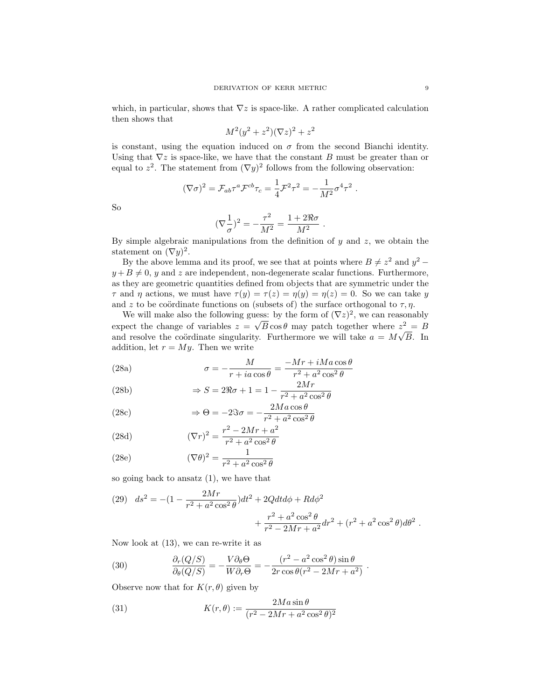which, in particular, shows that  $\nabla z$  is space-like. A rather complicated calculation then shows that

$$
M^2(y^2 + z^2)(\nabla z)^2 + z^2
$$

is constant, using the equation induced on  $\sigma$  from the second Bianchi identity. Using that  $\nabla z$  is space-like, we have that the constant B must be greater than or equal to  $z^2$ . The statement from  $(\nabla y)^2$  follows from the following observation:

$$
(\nabla \sigma)^2 = \mathcal{F}_{ab} \tau^a \mathcal{F}^{cb} \tau_c = \frac{1}{4} \mathcal{F}^2 \tau^2 = -\frac{1}{M^2} \sigma^4 \tau^2.
$$

So

$$
(\nabla \frac{1}{\sigma})^2 = -\frac{\tau^2}{M^2} = \frac{1+2\Re \sigma}{M^2}.
$$

By simple algebraic manipulations from the definition of  $y$  and  $z$ , we obtain the statement on  $(\nabla y)^2$ .

By the above lemma and its proof, we see that at points where  $B \neq z^2$  and  $y^2$  $y + B \neq 0$ , y and z are independent, non-degenerate scalar functions. Furthermore, as they are geometric quantities defined from objects that are symmetric under the  $\tau$  and  $\eta$  actions, we must have  $\tau(y) = \tau(z) = \eta(y) = \eta(z) = 0$ . So we can take y and z to be coördinate functions on (subsets of) the surface orthogonal to  $\tau$ ,  $\eta$ .

We will make also the following guess: by the form of  $(\nabla z)^2$ , we can reasonably expect the change of variables  $z = \sqrt{B} \cos \theta$  may patch together where  $z^2 = B$ and resolve the coördinate singularity. Furthermore we will take  $a = M\sqrt{B}$ . In addition, let  $r = My$ . Then we write

(28a) 
$$
\sigma = -\frac{M}{r + ia \cos \theta} = \frac{-Mr + iMa \cos \theta}{r^2 + a^2 \cos^2 \theta}
$$

(28b) 
$$
\Rightarrow S = 2\Re\sigma + 1 = 1 - \frac{2Mr}{r^2 + a^2\cos^2\theta}
$$

(28c) 
$$
\Rightarrow \Theta = -2\Im \sigma = -\frac{2Ma\cos\theta}{r^2 + a^2\cos^2\theta}
$$

(28d) 
$$
(\nabla r)^2 = \frac{r^2 - 2Mr + a^2}{r^2 + a^2 \cos^2 \theta}
$$

(28e) 
$$
(\nabla \theta)^2 = \frac{1}{r^2 + a^2 \cos^2 \theta}
$$

so going back to ansatz  $(1)$ , we have that

(29) 
$$
ds^{2} = -(1 - \frac{2Mr}{r^{2} + a^{2} \cos^{2} \theta})dt^{2} + 2Qdt d\phi + Rd\phi^{2} + \frac{r^{2} + a^{2} \cos^{2} \theta}{r^{2} - 2Mr + a^{2}} dr^{2} + (r^{2} + a^{2} \cos^{2} \theta) d\theta^{2}.
$$

.

Now look at (13), we can re-write it as

(30) 
$$
\frac{\partial_r(Q/S)}{\partial_\theta(Q/S)} = -\frac{V\partial_\theta \Theta}{W\partial_r \Theta} = -\frac{(r^2 - a^2\cos^2\theta)\sin\theta}{2r\cos\theta(r^2 - 2Mr + a^2)}
$$

Observe now that for  $K(r, \theta)$  given by

(31) 
$$
K(r,\theta) := \frac{2M a \sin \theta}{(r^2 - 2Mr + a^2 \cos^2 \theta)^2}
$$